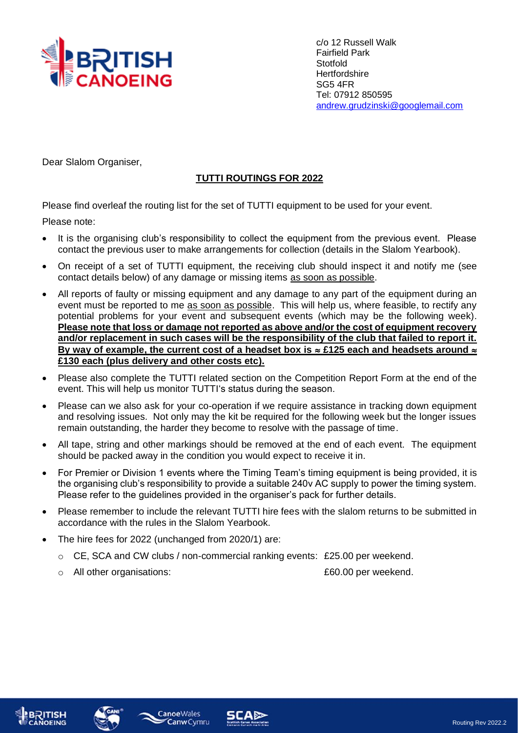

c/o 12 Russell Walk Fairfield Park Stotfold **Hertfordshire** SG5 4FR Tel: 07912 850595 [andrew.grudzinski@googlemail.com](mailto:andrew.grudzinski@googlemail.com)

Dear Slalom Organiser,

## **TUTTI ROUTINGS FOR 2022**

Please find overleaf the routing list for the set of TUTTI equipment to be used for your event.

Please note:

- It is the organising club's responsibility to collect the equipment from the previous event. Please contact the previous user to make arrangements for collection (details in the Slalom Yearbook).
- On receipt of a set of TUTTI equipment, the receiving club should inspect it and notify me (see contact details below) of any damage or missing items as soon as possible.
- All reports of faulty or missing equipment and any damage to any part of the equipment during an event must be reported to me as soon as possible. This will help us, where feasible, to rectify any potential problems for your event and subsequent events (which may be the following week). **Please note that loss or damage not reported as above and/or the cost of equipment recovery and/or replacement in such cases will be the responsibility of the club that failed to report it.**  By way of example, the current cost of a headset box is  $\approx$  £125 each and headsets around  $\approx$ **£130 each (plus delivery and other costs etc).**
- Please also complete the TUTTI related section on the Competition Report Form at the end of the event. This will help us monitor TUTTI's status during the season.
- Please can we also ask for your co-operation if we require assistance in tracking down equipment and resolving issues. Not only may the kit be required for the following week but the longer issues remain outstanding, the harder they become to resolve with the passage of time.
- All tape, string and other markings should be removed at the end of each event. The equipment should be packed away in the condition you would expect to receive it in.
- For Premier or Division 1 events where the Timing Team's timing equipment is being provided, it is the organising club's responsibility to provide a suitable 240v AC supply to power the timing system. Please refer to the guidelines provided in the organiser's pack for further details.
- Please remember to include the relevant TUTTI hire fees with the slalom returns to be submitted in accordance with the rules in the Slalom Yearbook.
- The hire fees for 2022 (unchanged from 2020/1) are:
	- o CE, SCA and CW clubs / non-commercial ranking events: £25.00 per weekend.
	- o All other organisations: £60.00 per weekend.